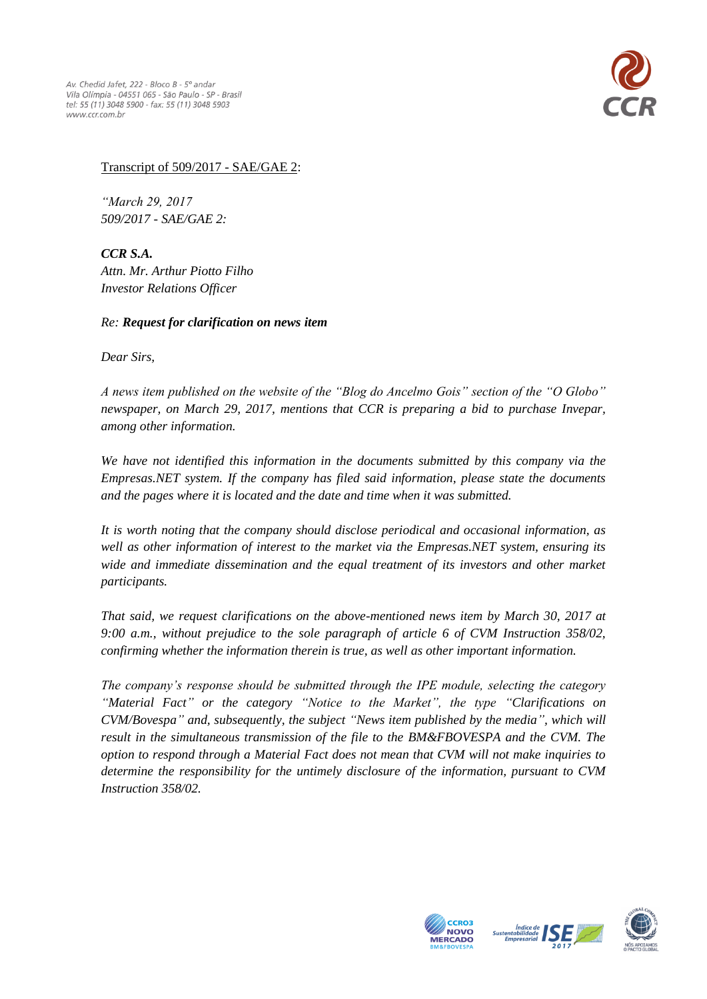

## Transcript of 509/2017 - SAE/GAE 2:

*"March 29, 2017 509/2017 - SAE/GAE 2:*

*CCR S.A. Attn. Mr. Arthur Piotto Filho Investor Relations Officer*

## *Re: Request for clarification on news item*

*Dear Sirs,*

*A news item published on the website of the "Blog do Ancelmo Gois" section of the "O Globo" newspaper, on March 29, 2017, mentions that CCR is preparing a bid to purchase Invepar, among other information.*

*We have not identified this information in the documents submitted by this company via the Empresas.NET system. If the company has filed said information, please state the documents and the pages where it is located and the date and time when it was submitted.*

*It is worth noting that the company should disclose periodical and occasional information, as well as other information of interest to the market via the Empresas.NET system, ensuring its wide and immediate dissemination and the equal treatment of its investors and other market participants.* 

*That said, we request clarifications on the above-mentioned news item by March 30, 2017 at 9:00 a.m., without prejudice to the sole paragraph of article 6 of CVM Instruction 358/02, confirming whether the information therein is true, as well as other important information.*

*The company's response should be submitted through the IPE module, selecting the category "Material Fact" or the category "Notice to the Market", the type "Clarifications on CVM/Bovespa" and, subsequently, the subject "News item published by the media", which will result in the simultaneous transmission of the file to the BM&FBOVESPA and the CVM. The option to respond through a Material Fact does not mean that CVM will not make inquiries to determine the responsibility for the untimely disclosure of the information, pursuant to CVM Instruction 358/02.*





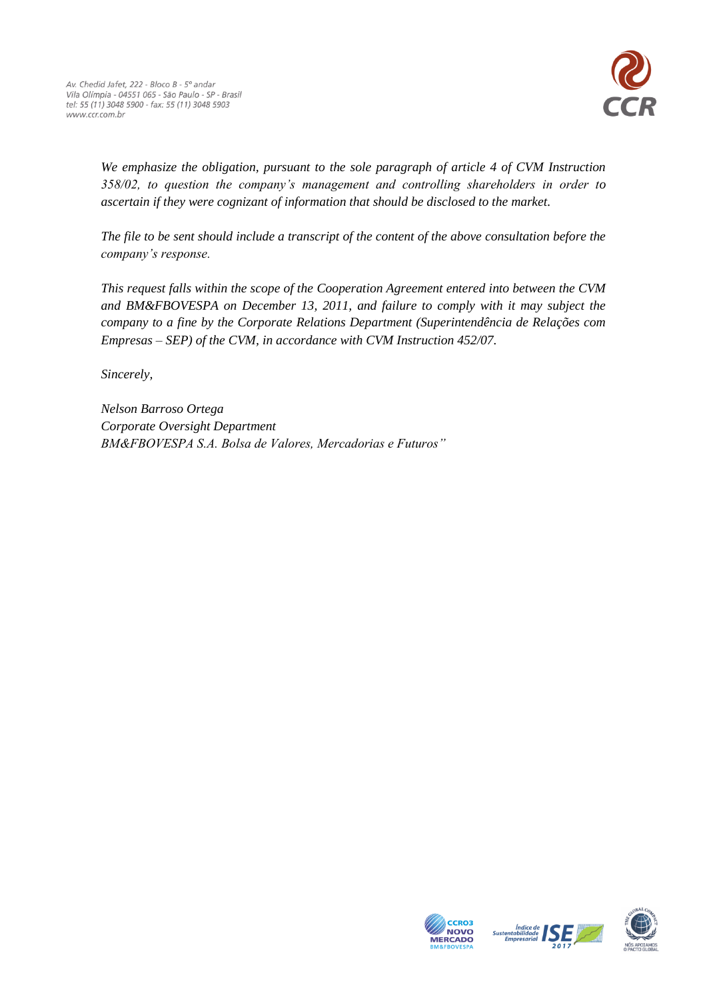

*We emphasize the obligation, pursuant to the sole paragraph of article 4 of CVM Instruction 358/02, to question the company's management and controlling shareholders in order to ascertain if they were cognizant of information that should be disclosed to the market.*

*The file to be sent should include a transcript of the content of the above consultation before the company's response.*

*This request falls within the scope of the Cooperation Agreement entered into between the CVM and BM&FBOVESPA on December 13, 2011, and failure to comply with it may subject the company to a fine by the Corporate Relations Department (Superintendência de Relações com Empresas – SEP) of the CVM, in accordance with CVM Instruction 452/07.*

*Sincerely,*

*Nelson Barroso Ortega Corporate Oversight Department BM&FBOVESPA S.A. Bolsa de Valores, Mercadorias e Futuros"*